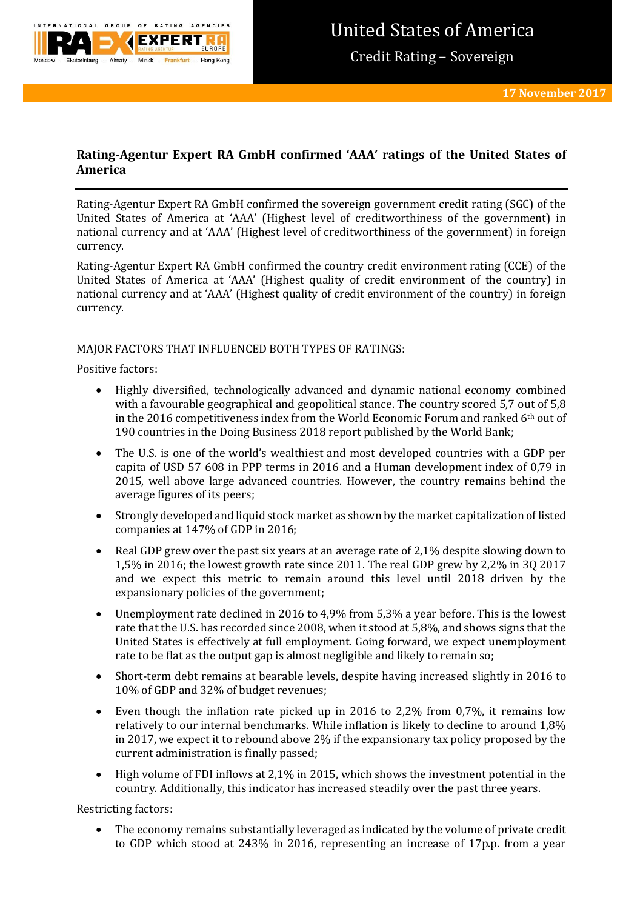

# **Rating-Agentur Expert RA GmbH confirmed 'AAA' ratings of the United States of America**

Rating-Agentur Expert RA GmbH confirmed the sovereign government credit rating (SGC) of the United States of America at 'AAA' (Highest level of creditworthiness of the government) in national currency and at 'AAA' (Highest level of creditworthiness of the government) in foreign currency.

Rating-Agentur Expert RA GmbH confirmed the country credit environment rating (CCE) of the United States of America at 'AAA' (Highest quality of credit environment of the country) in national currency and at 'AAA' (Highest quality of credit environment of the country) in foreign currency.

## MAJOR FACTORS THAT INFLUENCED BOTH TYPES OF RATINGS:

Positive factors:

- Highly diversified, technologically advanced and dynamic national economy combined with a favourable geographical and geopolitical stance. The country scored 5,7 out of 5,8 in the 2016 competitiveness index from the World Economic Forum and ranked 6th out of 190 countries in the Doing Business 2018 report published by the World Bank;
- The U.S. is one of the world's wealthiest and most developed countries with a GDP per capita of USD 57 608 in PPP terms in 2016 and a Human development index of 0,79 in 2015, well above large advanced countries. However, the country remains behind the average figures of its peers;
- Strongly developed and liquid stock market as shown by the market capitalization of listed companies at 147% of GDP in 2016;
- Real GDP grew over the past six years at an average rate of 2.1% despite slowing down to 1,5% in 2016; the lowest growth rate since 2011. The real GDP grew by 2,2% in 3Q 2017 and we expect this metric to remain around this level until 2018 driven by the expansionary policies of the government;
- Unemployment rate declined in 2016 to 4,9% from 5,3% a year before. This is the lowest rate that the U.S. has recorded since 2008, when it stood at 5,8%, and shows signs that the United States is effectively at full employment. Going forward, we expect unemployment rate to be flat as the output gap is almost negligible and likely to remain so;
- Short-term debt remains at bearable levels, despite having increased slightly in 2016 to 10% of GDP and 32% of budget revenues;
- Even though the inflation rate picked up in 2016 to 2,2% from 0,7%, it remains low relatively to our internal benchmarks. While inflation is likely to decline to around 1,8% in 2017, we expect it to rebound above 2% if the expansionary tax policy proposed by the current administration is finally passed;
- High volume of FDI inflows at 2,1% in 2015, which shows the investment potential in the country. Additionally, this indicator has increased steadily over the past three years.

Restricting factors:

 The economy remains substantially leveraged as indicated by the volume of private credit to GDP which stood at 243% in 2016, representing an increase of 17p.p. from a year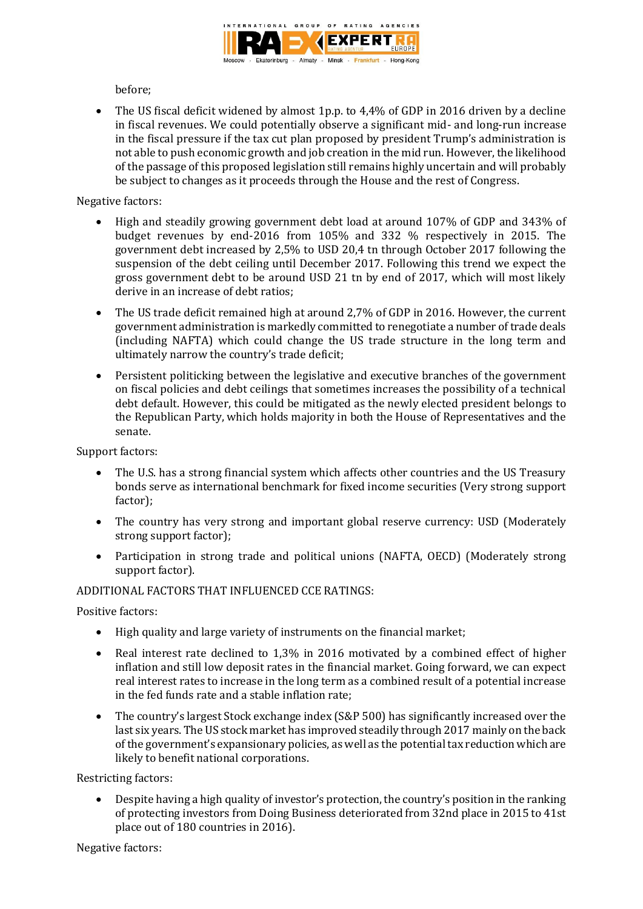

before;

• The US fiscal deficit widened by almost 1p.p. to 4,4% of GDP in 2016 driven by a decline in fiscal revenues. We could potentially observe a significant mid- and long-run increase in the fiscal pressure if the tax cut plan proposed by president Trump's administration is not able to push economic growth and job creation in the mid run. However, the likelihood of the passage of this proposed legislation still remains highly uncertain and will probably be subject to changes as it proceeds through the House and the rest of Congress.

# Negative factors:

- High and steadily growing government debt load at around 107% of GDP and 343% of budget revenues by end-2016 from 105% and 332 % respectively in 2015. The government debt increased by 2,5% to USD 20,4 tn through October 2017 following the suspension of the debt ceiling until December 2017. Following this trend we expect the gross government debt to be around USD 21 tn by end of 2017, which will most likely derive in an increase of debt ratios;
- The US trade deficit remained high at around 2,7% of GDP in 2016. However, the current government administration is markedly committed to renegotiate a number of trade deals (including NAFTA) which could change the US trade structure in the long term and ultimately narrow the country's trade deficit;
- Persistent politicking between the legislative and executive branches of the government on fiscal policies and debt ceilings that sometimes increases the possibility of a technical debt default. However, this could be mitigated as the newly elected president belongs to the Republican Party, which holds majority in both the House of Representatives and the senate.

Support factors:

- The U.S. has a strong financial system which affects other countries and the US Treasury bonds serve as international benchmark for fixed income securities (Very strong support factor);
- The country has very strong and important global reserve currency: USD (Moderately strong support factor);
- Participation in strong trade and political unions (NAFTA, OECD) (Moderately strong support factor).

## ADDITIONAL FACTORS THAT INFLUENCED CCE RATINGS:

Positive factors:

- High quality and large variety of instruments on the financial market;
- Real interest rate declined to 1,3% in 2016 motivated by a combined effect of higher inflation and still low deposit rates in the financial market. Going forward, we can expect real interest rates to increase in the long term as a combined result of a potential increase in the fed funds rate and a stable inflation rate;
- The country's largest Stock exchange index (S&P 500) has significantly increased over the last six years. The US stock market has improved steadily through 2017 mainly on the back of the government's expansionary policies, as well as the potential tax reduction which are likely to benefit national corporations.

Restricting factors:

 Despite having a high quality of investor's protection, the country's position in the ranking of protecting investors from Doing Business deteriorated from 32nd place in 2015 to 41st place out of 180 countries in 2016).

Negative factors: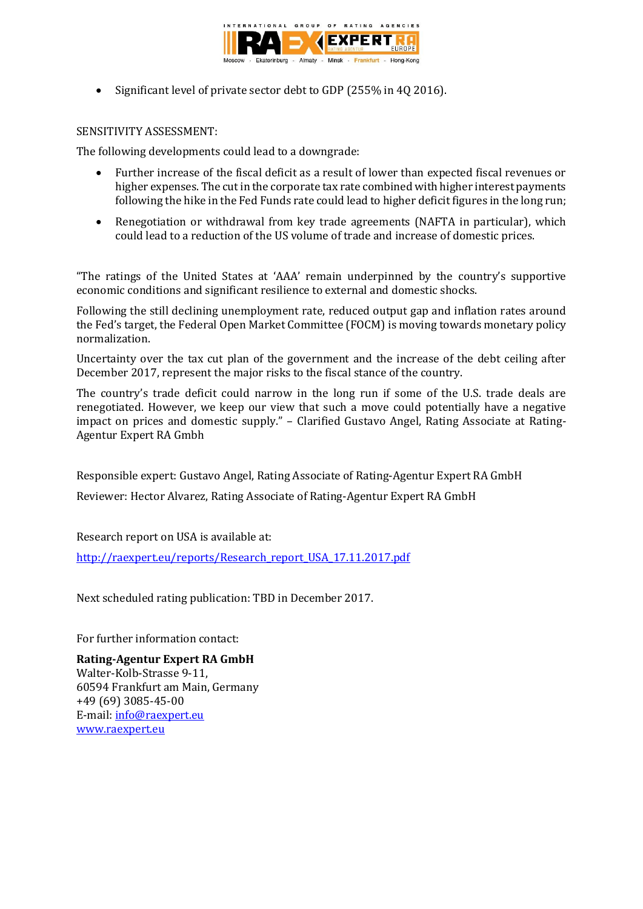

• Significant level of private sector debt to GDP (255% in 40 2016).

### SENSITIVITY ASSESSMENT:

The following developments could lead to a downgrade:

- Further increase of the fiscal deficit as a result of lower than expected fiscal revenues or higher expenses. The cut in the corporate tax rate combined with higher interest payments following the hike in the Fed Funds rate could lead to higher deficit figures in the long run;
- Renegotiation or withdrawal from key trade agreements (NAFTA in particular), which could lead to a reduction of the US volume of trade and increase of domestic prices.

"The ratings of the United States at 'AAA' remain underpinned by the country's supportive economic conditions and significant resilience to external and domestic shocks.

Following the still declining unemployment rate, reduced output gap and inflation rates around the Fed's target, the Federal Open Market Committee (FOCM) is moving towards monetary policy normalization.

Uncertainty over the tax cut plan of the government and the increase of the debt ceiling after December 2017, represent the major risks to the fiscal stance of the country.

The country's trade deficit could narrow in the long run if some of the U.S. trade deals are renegotiated. However, we keep our view that such a move could potentially have a negative impact on prices and domestic supply." – Clarified Gustavo Angel, Rating Associate at Rating-Agentur Expert RA Gmbh

Responsible expert: Gustavo Angel, Rating Associate of Rating-Agentur Expert RA GmbH

Reviewer: Hector Alvarez, Rating Associate of Rating-Agentur Expert RA GmbH

Research report on USA is available at:

[http://raexpert.eu/reports/Research\\_report\\_USA\\_17.11.2017.pdf](http://raexpert.eu/reports/Research_report_USA_17.11.2017.pdf)

Next scheduled rating publication: TBD in December 2017.

For further information contact:

**Rating-Agentur Expert RA GmbH** Walter-Kolb-Strasse 9-11, 60594 Frankfurt am Main, Germany +49 (69) 3085-45-00 E-mail[: info@raexpert.eu](mailto:info@raexpert.eu) [www.raexpert.eu](http://raexpert.eu/)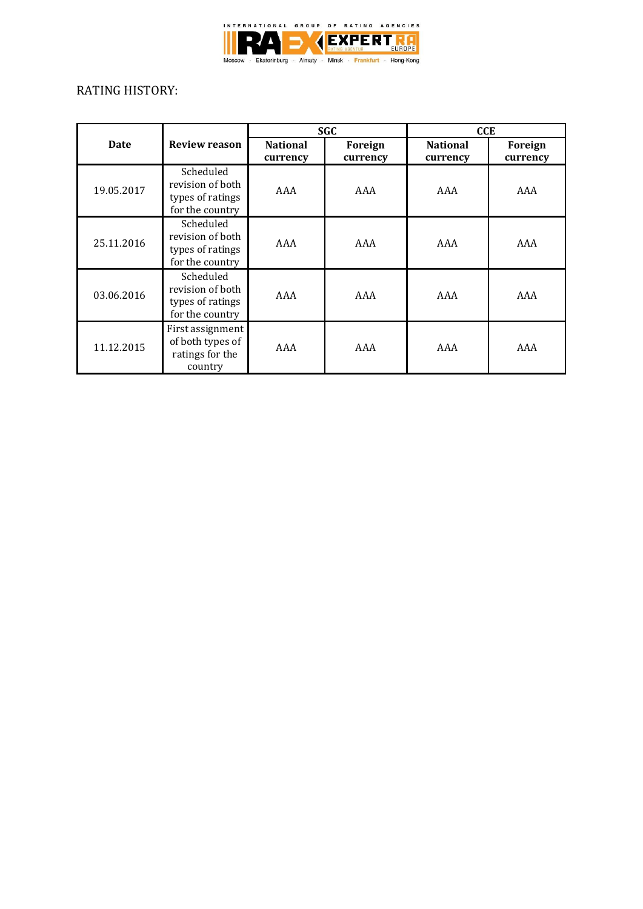

# RATING HISTORY:

|            |                                                                      | <b>SGC</b>                  |                     | <b>CCE</b>                  |                     |
|------------|----------------------------------------------------------------------|-----------------------------|---------------------|-----------------------------|---------------------|
| Date       | <b>Review reason</b>                                                 | <b>National</b><br>currency | Foreign<br>currency | <b>National</b><br>currency | Foreign<br>currency |
| 19.05.2017 | Scheduled<br>revision of both<br>types of ratings<br>for the country | AAA                         | AAA                 | AAA                         | AAA                 |
| 25.11.2016 | Scheduled<br>revision of both<br>types of ratings<br>for the country | AAA                         | AAA                 | AAA                         | AAA                 |
| 03.06.2016 | Scheduled<br>revision of both<br>types of ratings<br>for the country | AAA                         | AAA                 | AAA                         | AAA                 |
| 11.12.2015 | First assignment<br>of both types of<br>ratings for the<br>country   | AAA                         | AAA                 | AAA                         | AAA                 |